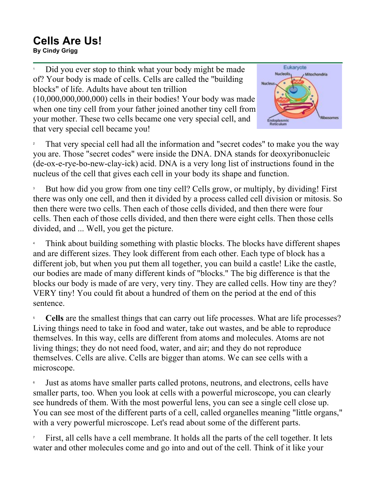## **Cells Are Us! By Cindy Grigg**<br>By Cindy Grigg

1 Did you ever stop to think what your body might be made of? Your body is made of cells. Cells are called the "building blocks" of life. Adults have about ten trillion (10,000,000,000,000) cells in their bodies! Your body was made when one tiny cell from your father joined another tiny cell from your mother. These two cells became one very special cell, and that very special cell became you!



2 That very special cell had all the information and "secret codes" to make you the way you are. Those "secret codes" were inside the DNA. DNA stands for deoxyribonucleic (de-ox-e-rye-bo-new-clay-ick) acid. DNA is a very long list of instructions found in the nucleus of the cell that gives each cell in your body its shape and function.

3 But how did you grow from one tiny cell? Cells grow, or multiply, by dividing! First there was only one cell, and then it divided by a process called cell division or mitosis. So then there were two cells. Then each of those cells divided, and then there were four cells. Then each of those cells divided, and then there were eight cells. Then those cells divided, and ... Well, you get the picture.

4 Think about building something with plastic blocks. The blocks have different shapes and are different sizes. They look different from each other. Each type of block has a different job, but when you put them all together, you can build a castle! Like the castle, our bodies are made of many different kinds of "blocks." The big difference is that the blocks our body is made of are very, very tiny. They are called cells. How tiny are they? VERY tiny! You could fit about a hundred of them on the period at the end of this sentence.

5 **Cells** are the smallest things that can carry out life processes. What are life processes? Living things need to take in food and water, take out wastes, and be able to reproduce themselves. In this way, cells are different from atoms and molecules. Atoms are not living things; they do not need food, water, and air; and they do not reproduce themselves. Cells are alive. Cells are bigger than atoms. We can see cells with a microscope.

6 Just as atoms have smaller parts called protons, neutrons, and electrons, cells have smaller parts, too. When you look at cells with a powerful microscope, you can clearly see hundreds of them. With the most powerful lens, you can see a single cell close up. You can see most of the different parts of a cell, called organelles meaning "little organs," with a very powerful microscope. Let's read about some of the different parts.

7 First, all cells have a cell membrane. It holds all the parts of the cell together. It lets water and other molecules come and go into and out of the cell. Think of it like your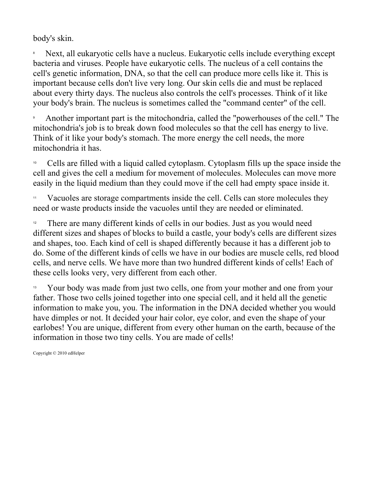body's skin.

8 Next, all eukaryotic cells have a nucleus. Eukaryotic cells include everything except bacteria and viruses. People have eukaryotic cells. The nucleus of a cell contains the cell's genetic information, DNA, so that the cell can produce more cells like it. This is important because cells don't live very long. Our skin cells die and must be replaced about every thirty days. The nucleus also controls the cell's processes. Think of it like your body's brain. The nucleus is sometimes called the "command center" of the cell.

9 Another important part is the mitochondria, called the "powerhouses of the cell." The mitochondria's job is to break down food molecules so that the cell has energy to live. Think of it like your body's stomach. The more energy the cell needs, the more mitochondria it has.

<sup>10</sup> Cells are filled with a liquid called cytoplasm. Cytoplasm fills up the space inside the cell and gives the cell a medium for movement of molecules. Molecules can move more easily in the liquid medium than they could move if the cell had empty space inside it.

<sup>11</sup> Vacuoles are storage compartments inside the cell. Cells can store molecules they need or waste products inside the vacuoles until they are needed or eliminated.

<sup>12</sup> There are many different kinds of cells in our bodies. Just as you would need different sizes and shapes of blocks to build a castle, your body's cells are different sizes and shapes, too. Each kind of cell is shaped differently because it has a different job to do. Some of the different kinds of cells we have in our bodies are muscle cells, red blood cells, and nerve cells. We have more than two hundred different kinds of cells! Each of these cells looks very, very different from each other.

<sup>13</sup> Your body was made from just two cells, one from your mother and one from your father. Those two cells joined together into one special cell, and it held all the genetic information to make you, you. The information in the DNA decided whether you would have dimples or not. It decided your hair color, eye color, and even the shape of your earlobes! You are unique, different from every other human on the earth, because of the information in those two tiny cells. You are made of cells!

Copyright © 2010 edHelper